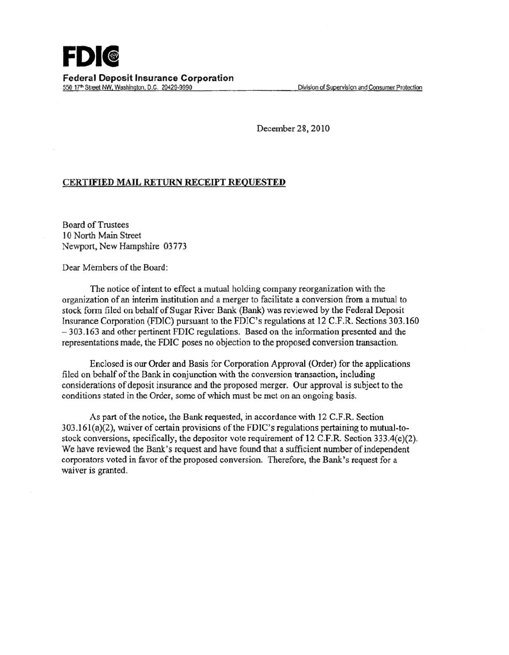December 28,2010

## CERTIFIED MAIL RETURN RECEIPT REQUESTED

**Board of Trustees** 10 North Main Street Newport, New Hampshire 03773

Dear Members of the Board:

The notice of intent to effect a mutual holding company reorganization with the organization of an interim institution and a merger to facilitate a conversion from a mutual to stock form filed on behalf of Sugar River Bank (Bank) was reviewed by the Federal Deposit Insurance Corporation (FDIC) pursuant to the FDIC's regulations at 12 C.F.R. Sections 303.160 - 303.163 and other pertinent FDIC regulations. Based on the information presented and the representations made, the FDIC poses no objection to the proposed conversion transaction.

Enclosed is our Order and Basis for Corporation Approval (Order) for the applications filed on behalf of the Bank in conjunction with the conversion transaction, including considerations of deposit insurance and the proposed merger. Our approval is subject to the conditions stated in the Order, some of which must be met on an ongoing basis.

As part of the notice, the Bank requested, in accordance with 12 C.F.R. Section 303.161 (a)(2), waiver of certain provisions of the FDIC's regulations pertaining to mutual-tostock conversions, specifically, the depositor vote requirement of 12 C.F.R. Section 333.4(c)(2). We have reviewed the Bank's request and have found that a sufficient number of independent corporators voted in favor of the proposed conversion. Therefore, the Bank's request for a waiver is granted.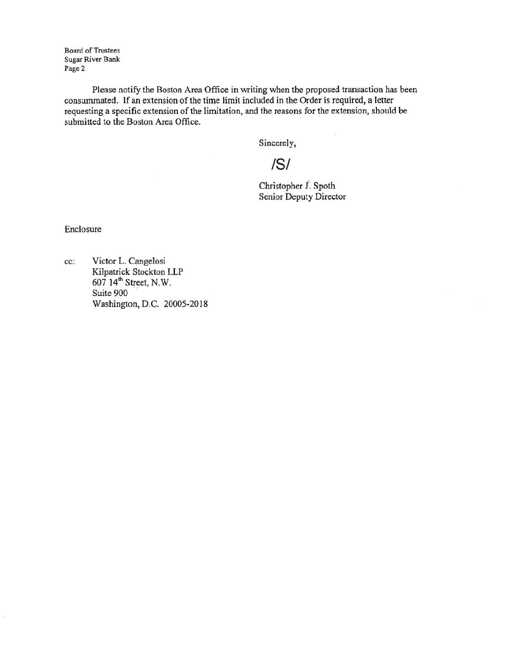Board of Trustees Sugar River Bank Page 2

Please notify the Boston Area Office in writing when the proposed transaction has been consummated. If an extension of the time limit included in the Order is required, a letter requesting a specific extension of the limitation, and the reasons for the extension, should be submitted to the Boston Area Office.

Sincerely,

IS/

Christopher J. Spoth Senior Deputy Director

Enclosure

cc: Victor L. Cangelosi Kilpatrick Stockton LLP 607 14<sup>th</sup> Street, N.W.<br>Suite 900 Washington, D.C. 20005-2018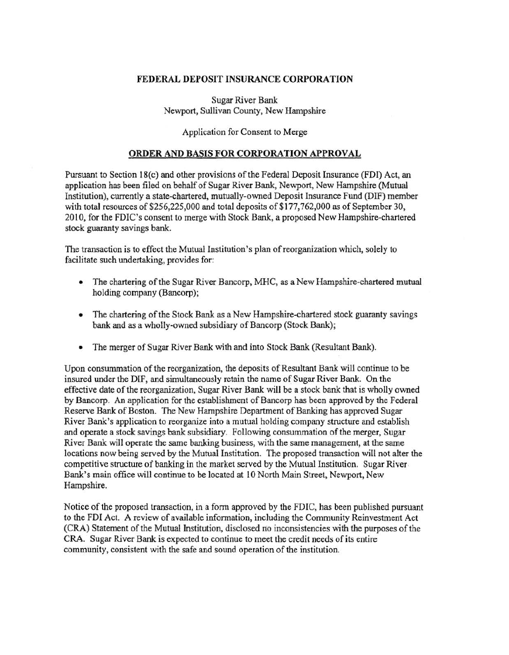## FEDERAL DEPOSIT INSURANCE CORPORATION

Sugar River Bank Newport, Sullivan County, New Hampshire

Application for Consent to Merge

## ORDER AND BASIS FOR CORPORATION APPROVAL

Pursuant to Section 18(c) and other provisions of the Federal Deposit Insurance (FDI) Act, an application has been filed on behalf of Sugar River Bank., Newport, New Hampshire (Mutual Institution), currently a state-chartered, mutually-owned Deposit Insurance Fund (DIF) member with total resources of \$256,225,000 and total deposits of \$177,762,000 as of September 30, 2010, for the FDIC's consent to merge with Stock Bank, a proposed New Hampshire-chartered stock guaranty savings bank.

The transaction is to effect the Mutual Institution's plan of reorganization which, solely to facilitate such undertaking, provides for:

- The chartering of the Sugar River Bancorp, MHC, as a New Hampshire-chartered mutual holding company (Bancorp);
- The chartering of the Stock Bank as a New Hampshire-chartered stock guaranty savings bank and as a wholly-owned subsidiary of Bancorp (Stock Bank);
- The merger of Sugar River Bank with and into Stock Bank (Resultant Bank).

Upon consummation of the reorganization, the deposits of Resultant Bank will continue to be insured under the DIF, and simultaneously retain the name of Sugar River Bank. On the effective date of the reorganization, Sugar River Bank will be a stock bank that is wholly owned by Bancorp. An application for the establishment of Bancorp has been approved by the Federal Reserve Bank of Boston. The New Hampshire Department of Banking has approved Sugar River Bank's application to reorganize into a mutual holding company structure and establish and operate a stock savings bank subsidiary. Following consummation of the merger, Sugar River Bank will operate the same banking business, with the same management, at the same locations now being served by the Mutual Institution. The proposed transaction will not alter the competitive structure of banking in the market served by the Mutual Institution. Sugar River Bank's main office will continue to be located at 10 North Main Street, Newport, New Hampshire.

Notice of the proposed transaction, in a form approved by the FDIC, has been published pursuant to the FDI Act. A review of available infonnation, including the Community Reinvestment Act (CRA) Statement of the Mutual Institution, disclosed no inconsistencies with the purposes of the CRA. Sugar River Bank is expected to continue to meet the credit needs of its entire community, consistent with the safe and sound operation of the institution.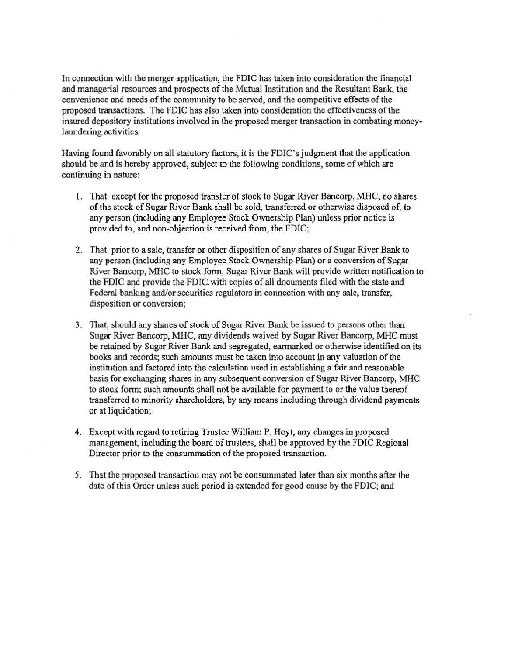In connection with the merger application. the FDIC has taken into consideration the financial and managerial resources and prospects of the Mutual Institution and the Resultant Bank, the convenience and needs of the community to be served, and the competitive effects of the proposed transactions. The FDIC has also taken into consideration the effectiveness of the insured depository institutions involved in the proposed merger transaction in combating moneylaundering activities.

Having found favorably on all statutory factors, it is the FDIC's judgment that the application should be and is hereby approved, subject to the following conditions, some of which are continuing in nature:

- 1. That, except for the proposed transfer of stock to Sugar River Bancorp, MHC, no shares of the stock of Sugar River Bank shall be sold, transferred or otherwise disposed of, to any person (including any Employee Stock Ownership Plan) unless prior notice is provided to, and non-objection is received from, the FDIC;
- 2. That, prior to a sale, transfer or other disposition of any shares of Sugar River Bank to any person (including any Employee Stock Ownership Plan) or a conversion of Sugar River Bancorp, MHC to stock form, Sugar River Bank will provide written notification to the FDIC and provide the FDIC with copies of all documents filed with the state and Federal banking and/or securities regulators in connection with any sale, transfer, disposition or conversion;
- 3. That, should any shares of stock of Sugar River Bank be issued to persons other than Sugar River Bancorp, MHC, any dividends waived by Sugar River Bancorp, MHC must be retained by Sugar River Bank and segregated, earmarked or otherwise identified on its books and records; such amounts must be taken into account in any valuation of the institution and factored into the calculation used in establishing a fair and reasonable basis for exchanging shares in any subsequent conversion of Sugar River Bancorp, MHC to stock form; such amounts shall not be available for payment to or the value thereof transferred to minority shareholders, by any means including through dividend payments or at liquidation;
- 4. Except with regard to retiring Trustee William P. Hoyt, any changes in proposed management, including the board of trustees, shall be approved by the FDIC Regional Director prior to the consummation of the proposed transaction.
- 5. That the proposed transaction may not be consummated later than six months after the date of this Order unless such period is extended for good cause by the FDIC; and